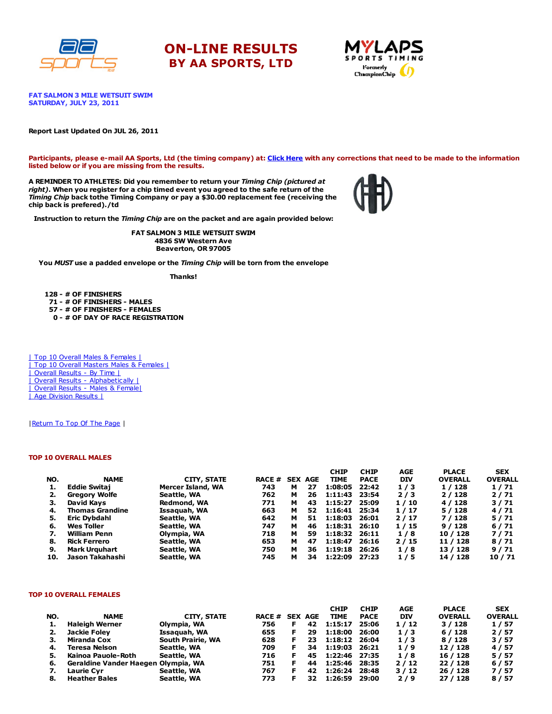





**FAT SALMON 3 MILE WETSUIT SWIM** SATURDAY, JULY 23, 2011

#### Report Last Updated On JUL 26, 2011

Participants, please e-mail AA Sports, Ltd (the timing company) at: Click [Here](http://www.racecenter.com/aa-sports-results-inquiry/) with any corrections that need to be made to the information listed below or if you are missing from the results.

A REMINDER TO ATHLETES: Did you remember to return your Timing Chip (pictured at right). When you register for a chip timed event you agreed to the safe return of the Timing Chip back tothe Timing Company or pay a \$30.00 replacement fee (receiving the chip back is prefered)./td



Instruction to return the Timing Chip are on the packet and are again provided below:

FAT SALMON 3 MILE WETSUIT SWIM 4836 SW Western Ave Beaverton, OR 97005

You MUST use a padded envelope or the Timing Chip will be torn from the envelope

Thanks!

 - # OF FINISHERS - # OF FINISHERS - MALES - # OF FINISHERS - FEMALES - # OF DAY OF RACE REGISTRATION

| Top 10 Overall Males & Females | | Top 10 Overall Masters Males & Females | | Overall Results - By Time | | Overall Results - [Alphabetically](http://www.racecenter.com/results/2011/res_s4al11.htm) | | Overall Results - Males & [Female|](http://www.racecenter.com/results/2011/res_s4og11.htm) | Age [Division](http://www.racecenter.com/results/2011/res_s4ag11.htm) Results |

| Return To Top Of The Page |

### TOP 10 OVERALL MALES

|     |                        |                    |                |   |    | <b>CHIP</b>   | <b>CHIP</b> | AGE        | <b>PLACE</b>   | <b>SEX</b>     |
|-----|------------------------|--------------------|----------------|---|----|---------------|-------------|------------|----------------|----------------|
| NO. | <b>NAME</b>            | <b>CITY, STATE</b> | RACE # SEX AGE |   |    | <b>TIME</b>   | <b>PACE</b> | <b>DIV</b> | <b>OVERALL</b> | <b>OVERALL</b> |
|     | <b>Eddie Switaj</b>    | Mercer Island, WA  | 743            | м | 27 | 1:08:05       | 22:42       | 1/3        | 1 / 128        | 1/71           |
|     | <b>Gregory Wolfe</b>   | Seattle, WA        | 762            | м | 26 | 1:11:43       | 23:54       | 2/3        | 2/128          | 2/71           |
| з.  | David Kavs             | Redmond, WA        | 771            | м | 43 | 1:15:27       | 25:09       | 1/10       | 4 / 128        | 3/71           |
| 4.  | <b>Thomas Grandine</b> | Issaguah, WA       | 663            | м | 52 | 1:16:41 25:34 |             | 1/17       | 5/128          | 4/71           |
| 5.  | Eric Dybdahl           | Seattle, WA        | 642            | м | 51 | 1:18:03       | 26:01       | 2/17       | 7/128          | 5/71           |
| 6.  | Wes Toller             | Seattle, WA        | 747            | м | 46 | 1:18:31 26:10 |             | 1/15       | 9/128          | 6/71           |
| 7.  | <b>William Penn</b>    | Olympia, WA        | 718            | м | 59 | 1:18:32       | - 26:11     | 1/8        | 10 / 128       | 7/71           |
| 8.  | Rick Ferrero           | Seattle, WA        | 653            | м | 47 | 1:18:47       | 26:16       | 2/15       | 11 / 128       | 8/71           |
| 9.  | <b>Mark Urguhart</b>   | Seattle, WA        | 750            | м | 36 | 1:19:18       | 26:26       | 1/8        | 13 / 128       | 9/71           |
| 10. | Jason Takahashi        | Seattle, WA        | 745            | м | 34 | 1:22:09       | 27:23       | 1/5        | 14 / 128       | 10/71          |

#### TOP 10 OVERALL FEMALES

|     |                                     |                   |                |    | <b>CHIP</b>   | <b>CHIP</b> | AGE        | <b>PLACE</b>   | <b>SEX</b>     |
|-----|-------------------------------------|-------------------|----------------|----|---------------|-------------|------------|----------------|----------------|
| NO. | <b>NAME</b>                         | CITY, STATE       | RACE # SEX AGE |    | <b>TIME</b>   | <b>PACE</b> | <b>DIV</b> | <b>OVERALL</b> | <b>OVERALL</b> |
|     | <b>Haleigh Werner</b>               | Olympia, WA       | 756            | 42 | 1:15:17       | 25:06       | 1/12       | 3/128          | 1/57           |
|     | Jackie Foley                        | Issaquah, WA      | 655            | 29 | 1:18:00       | 26:00       | 1/3        | 6/128          | 2/57           |
| з.  | Miranda Cox                         | South Prairie, WA | 628            | 23 | 1:18:12 26:04 |             | 1/3        | 8 / 128        | 3/57           |
| 4.  | <b>Teresa Nelson</b>                | Seattle, WA       | 709            | 34 | 1:19:03       | 26:21       | 1/9        | 12 / 128       | 4/57           |
|     | Kainoa Pauole-Roth                  | Seattle, WA       | 716            | 45 | 1:22:46 27:35 |             | 1/8        | 16 / 128       | 5/57           |
| 6.  | Geraldine Vander Haegen Olympia, WA |                   | 751            | 44 | 1:25:46       | 28:35       | 2/12       | 22/128         | 6/57           |
|     | <b>Laurie Cvr</b>                   | Seattle, WA       | 767            | 42 | 1:26:24       | 28:48       | 3/12       | 26 / 128       | 7/57           |
| 8.  | <b>Heather Bales</b>                | Seattle, WA       | 773            | 32 | 1:26:59       | 29:00       | 2/9        | 27/128         | 8/57           |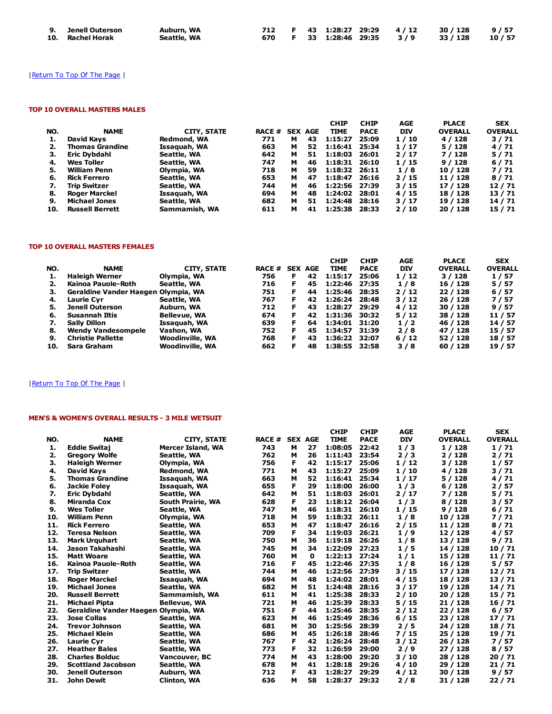| 9. Jenell Outerson | Auburn, WA  |  |  |  | 712 F 43 1:28:27 29:29 4/12 30/128 9/57 |  |
|--------------------|-------------|--|--|--|-----------------------------------------|--|
| 10. Rachel Horak   | Seattle, WA |  |  |  | 670 F 33 1:28:46 29:35 3/9 33/128 10/57 |  |

# | Return To Top Of The Page |

## TOP 10 OVERALL MASTERS MALES

|     |                        |                    |               |   |                | <b>CHIP</b>   | <b>CHIP</b> | AGE        | <b>PLACE</b>   | <b>SEX</b>     |
|-----|------------------------|--------------------|---------------|---|----------------|---------------|-------------|------------|----------------|----------------|
| NO. | <b>NAME</b>            | <b>CITY, STATE</b> | <b>RACE #</b> |   | <b>SEX AGE</b> | <b>TIME</b>   | <b>PACE</b> | <b>DIV</b> | <b>OVERALL</b> | <b>OVERALL</b> |
| ı.  | David Kavs             | Redmond, WA        | 771           | м | 43             | 1:15:27       | 25:09       | 1/10       | 4 / 128        | 3/71           |
|     | <b>Thomas Grandine</b> | Issaquah, WA       | 663           | м | 52             | 1:16:41 25:34 |             | 1/17       | 5 / 128        | 4/71           |
| З.  | Eric Dybdahl           | Seattle, WA        | 642           | м | 51             | 1:18:03       | 26:01       | 2/17       | 7 / 128        | 5/71           |
| 4.  | Wes Toller             | Seattle, WA        | 747           | м | 46             | 1:18:31       | 26:10       | 1/15       | 9/128          | 6/71           |
| 5.  | <b>William Penn</b>    | Olympia, WA        | 718           | м | 59             | 1:18:32       | - 26:11     | 1/8        | 10 / 128       | 7/71           |
| 6.  | <b>Rick Ferrero</b>    | Seattle, WA        | 653           | м | 47             | 1:18:47       | 26:16       | 2/15       | 11 / 128       | 8/71           |
| 7.  | <b>Trip Switzer</b>    | Seattle, WA        | 744           | м | 46             | 1:22:56 27:39 |             | 3/15       | 17 / 128       | 12/71          |
| 8.  | <b>Roger Marckel</b>   | Issaquah, WA       | 694           | м | 48             | 1:24:02       | 28:01       | 4/15       | 18 / 128       | 13/71          |
| 9.  | <b>Michael Jones</b>   | Seattle, WA        | 682           | м | 51             | 1:24:48       | 28:16       | 3/17       | 19 / 128       | 14/71          |
| 10. | <b>Russell Berrett</b> | Sammamish, WA      | 611           | м | 41             | 1:25:38       | 28:33       | 2/10       | 20 / 128       | 15 / 71        |

### TOP 10 OVERALL MASTERS FEMALES

|     |                                     |                        |               |    |                | <b>CHIP</b>   | <b>CHIP</b> | AGE        | <b>PLACE</b>   | <b>SEX</b>     |
|-----|-------------------------------------|------------------------|---------------|----|----------------|---------------|-------------|------------|----------------|----------------|
| NO. | <b>NAME</b>                         | CITY, STATE            | <b>RACE #</b> |    | <b>SEX AGE</b> | <b>TIME</b>   | <b>PACE</b> | <b>DIV</b> | <b>OVERALL</b> | <b>OVERALL</b> |
|     | Haleigh Werner                      | Olympia, WA            | 756           | F. | 42             | 1:15:17       | 25:06       | 1/12       | 3/128          | 1/57           |
|     | Kainoa Pauole-Roth                  | Seattle, WA            | 716           | F. | 45             | 1:22:46       | 27:35       | 1/8        | 16 / 128       | 5/57           |
| з.  | Geraldine Vander Haegen Olympia, WA |                        | 751           | F. | 44             | 1:25:46       | 28:35       | 2/12       | 22/128         | 6/57           |
| 4.  | <b>Laurie Cvr</b>                   | Seattle, WA            | 767           | F. | 42             | 1:26:24 28:48 |             | 3/12       | 26 / 128       | 7/57           |
| 5.  | <b>Jenell Outerson</b>              | Auburn, WA             | 712           | F. | 43             | 1:28:27 29:29 |             | 4/12       | 30 / 128       | 9/57           |
| 6.  | Susannah Iltis                      | <b>Bellevue, WA</b>    | 674           | F. | 42             | 1:31:36 30:32 |             | 5/12       | 38 / 128       | 11 / 57        |
| 7.  | <b>Sally Dillon</b>                 | Issaquah, WA           | 639           | F. | 64             | 1:34:01 31:20 |             | 1/2        | 46 / 128       | 14 / 57        |
| 8.  | <b>Wendy Vandesompele</b>           | Vashon, WA             | 752           | F. | 45             | 1:34:57 31:39 |             | 2/8        | 47 / 128       | 15 / 57        |
| 9.  | <b>Christie Pallette</b>            | <b>Woodinville, WA</b> | 768           | F. | 43             | 1:36:22 32:07 |             | 6/12       | 52 / 128       | 18 / 57        |
| 10. | Sara Graham                         | <b>Woodinville, WA</b> | 662           | F  | 48             | 1:38:55 32:58 |             | 3/8        | 60/128         | 19 / 57        |

# | Return To Top Of The Page |

# MEN'S & WOMEN'S OVERALL RESULTS - 3 MILE WETSUIT

|     |                                     |                          |       |   |                | <b>CHIP</b> | <b>CHIP</b> | AGE        | <b>PLACE</b>   | <b>SEX</b>     |
|-----|-------------------------------------|--------------------------|-------|---|----------------|-------------|-------------|------------|----------------|----------------|
| NO. | <b>NAME</b>                         | <b>CITY, STATE</b>       | RACE# |   | <b>SEX AGE</b> | <b>TIME</b> | <b>PACE</b> | <b>DIV</b> | <b>OVERALL</b> | <b>OVERALL</b> |
| 1.  | <b>Eddie Switai</b>                 | <b>Mercer Island, WA</b> | 743   | м | 27             | 1:08:05     | 22:42       | 1/3        | 1/128          | 1/71           |
| 2.  | <b>Gregory Wolfe</b>                | Seattle, WA              | 762   | м | 26             | 1:11:43     | 23:54       | 2/3        | 2/128          | 2/71           |
| з.  | <b>Haleigh Werner</b>               | Olympia, WA              | 756   | F | 42             | 1:15:17     | 25:06       | 1/12       | 3/128          | 1/57           |
| 4.  | David Kays                          | Redmond, WA              | 771   | м | 43             | 1:15:27     | 25:09       | 1/10       | 4 / 128        | 3/71           |
| 5.  | <b>Thomas Grandine</b>              | Issaquah, WA             | 663   | м | 52             | 1:16:41     | 25:34       | 1/17       | 5/128          | 4/71           |
| 6.  | Jackie Folev                        | Issaquah, WA             | 655   | F | 29             | 1:18:00     | 26:00       | 1/3        | 6/128          | 2/57           |
| 7.  | <b>Eric Dybdahl</b>                 | Seattle, WA              | 642   | м | 51             | 1:18:03     | 26:01       | 2/17       | 7 / 128        | 5/71           |
| 8.  | <b>Miranda Cox</b>                  | South Prairie, WA        | 628   | F | 23             | 1:18:12     | 26:04       | 1/3        | 8/128          | 3/57           |
| 9.  | <b>Wes Toller</b>                   | Seattle, WA              | 747   | м | 46             | 1:18:31     | 26:10       | 1/15       | 9/128          | 6/71           |
| 10. | <b>William Penn</b>                 | Olympia, WA              | 718   | м | 59             | 1:18:32     | 26:11       | 1/8        | 10 / 128       | 7/71           |
| 11. | <b>Rick Ferrero</b>                 | Seattle, WA              | 653   | M | 47             | 1:18:47     | 26:16       | 2/15       | 11 / 128       | 8/71           |
| 12. | <b>Teresa Nelson</b>                | Seattle, WA              | 709   | F | 34             | 1:19:03     | 26:21       | 1/9        | 12 / 128       | 4/57           |
| 13. | <b>Mark Urguhart</b>                | Seattle, WA              | 750   | м | 36             | 1:19:18     | 26:26       | 1/8        | 13 / 128       | 9/71           |
| 14. | Jason Takahashi                     | Seattle, WA              | 745   | м | 34             | 1:22:09     | 27:23       | 1/5        | 14 / 128       | 10/71          |
| 15. | <b>Matt Woare</b>                   | Seattle, WA              | 760   | м | 0              | 1:22:13     | 27:24       | 1/1        | 15 / 128       | 11/71          |
| 16. | Kainoa Pauole-Roth                  | Seattle, WA              | 716   | F | 45             | 1:22:46     | 27:35       | 1/8        | 16 / 128       | 5/57           |
| 17. | <b>Trip Switzer</b>                 | Seattle, WA              | 744   | м | 46             | 1:22:56     | 27:39       | 3/15       | 17/128         | 12/71          |
| 18. | <b>Roger Marckel</b>                | Issaquah, WA             | 694   | м | 48             | 1:24:02     | 28:01       | 4/15       | 18 / 128       | 13/71          |
| 19. | <b>Michael Jones</b>                | Seattle, WA              | 682   | м | 51             | 1:24:48     | 28:16       | 3/17       | 19 / 128       | 14/71          |
| 20. | <b>Russell Berrett</b>              | Sammamish, WA            | 611   | м | 41             | 1:25:38     | 28:33       | 2/10       | 20 / 128       | 15/71          |
| 21. | <b>Michael Pipta</b>                | <b>Bellevue, WA</b>      | 721   | м | 46             | 1:25:39     | 28:33       | 5/15       | 21 / 128       | 16 / 71        |
| 22. | Geraldine Vander Haegen Olympia, WA |                          | 751   | F | 44             | 1:25:46     | 28:35       | 2/12       | 22 / 128       | 6/57           |
| 23. | <b>Jose Collas</b>                  | Seattle, WA              | 623   | м | 46             | 1:25:49     | 28:36       | 6/15       | 23 / 128       | 17/71          |
| 24. | <b>Trevor Johnson</b>               | Seattle, WA              | 681   | м | 30             | 1:25:56     | 28:39       | 2/5        | 24 / 128       | 18/71          |
| 25. | <b>Michael Klein</b>                | Seattle, WA              | 686   | м | 45             | 1:26:18     | 28:46       | 7/15       | 25/128         | 19 / 71        |
| 26. | <b>Laurie Cyr</b>                   | Seattle, WA              | 767   | F | 42             | 1:26:24     | 28:48       | 3/12       | 26 / 128       | 7/57           |
| 27. | <b>Heather Bales</b>                | Seattle, WA              | 773   | F | 32             | 1:26:59     | 29:00       | 2/9        | 27 / 128       | 8/57           |
| 28. | <b>Charles Bolduc</b>               | Vancouver, BC            | 774   | м | 43             | 1:28:00     | 29:20       | 3/10       | 28 / 128       | 20/71          |
| 29. | <b>Scottland Jacobson</b>           | Seattle, WA              | 678   | м | 41             | 1:28:18     | 29:26       | 4/10       | 29 / 128       | 21/71          |
| 30. | Jenell Outerson                     | Auburn, WA               | 712   | F | 43             | 1:28:27     | 29:29       | 4/12       | 30 / 128       | 9/57           |
| 31. | John Dewit                          | <b>Clinton, WA</b>       | 636   | м | 58             | 1:28:37     | 29:32       | 2/8        | 31 / 128       | 22/71          |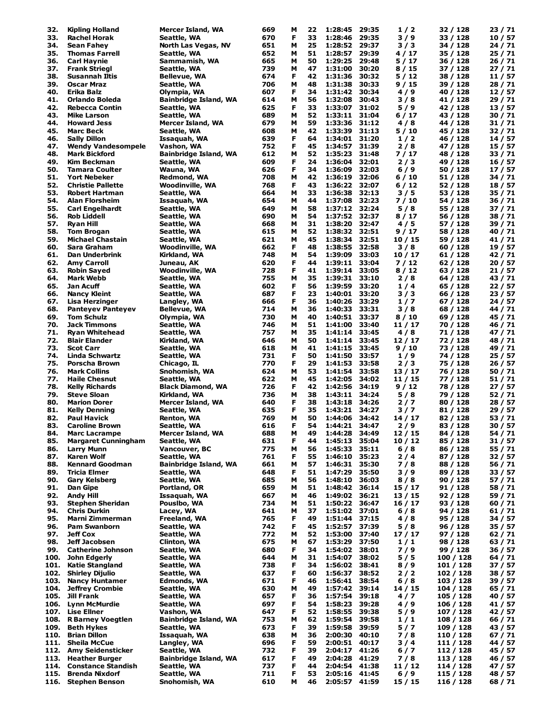| 32.  | <b>Kipling Holland</b>     | Mercer Island, WA            | 669 | м | 22 | 1:28:45       | 29:35 | 1/2     | 32 / 128  | 23 / 71 |
|------|----------------------------|------------------------------|-----|---|----|---------------|-------|---------|-----------|---------|
| 33.  | <b>Rachel Horak</b>        |                              | 670 | F | 33 | 1:28:46       | 29:35 | 3/9     | 33 / 128  | 10/57   |
|      |                            | Seattle, WA                  |     |   |    |               |       |         |           |         |
| 34.  | Sean Fahey                 | North Las Vegas, NV          | 651 | м | 25 | 1:28:52       | 29:37 | 3/3     | 34 / 128  | 24 / 71 |
| 35.  | <b>Thomas Farrell</b>      | Seattle, WA                  | 652 | м | 51 | 1:28:57       | 29:39 | 4 / 17  | 35 / 128  | 25/71   |
| 36.  | <b>Carl Haynie</b>         | Sammamish, WA                | 665 | М | 50 | 1:29:25       | 29:48 | 5/17    | 36 / 128  | 26 / 71 |
| 37.  | <b>Frank Striegl</b>       | Seattle, WA                  | 739 | М | 47 | 1:31:00       | 30:20 | 8/15    | 37 / 128  | 27 / 71 |
|      |                            |                              |     |   |    |               |       |         |           |         |
| 38.  | Susannah Iltis             | <b>Bellevue, WA</b>          | 674 | F | 42 | 1:31:36       | 30:32 | 5 / 12  | 38 / 128  | 11 / 57 |
| 39.  | Oscar Mraz                 | Seattle, WA                  | 706 | М | 48 | 1:31:38       | 30:33 | 9/15    | 39 / 128  | 28 / 71 |
| 40.  | Erika Balz                 | Olympia, WA                  | 607 | F | 34 | 1:31:42       | 30:34 | 4/9     | 40 / 128  | 12/57   |
| 41.  | Orlando Boleda             | <b>Bainbridge Island, WA</b> | 614 | М | 56 | 1:32:08       | 30:43 | 3/8     | 41 / 128  | 29 / 71 |
| 42.  | <b>Rebecca Contin</b>      | Seattle, WA                  | 625 | F | 33 | 1:33:07       | 31:02 | 5/9     | 42 / 128  | 13 / 57 |
|      |                            |                              |     |   |    |               |       |         |           |         |
| 43.  | Mike Larson                | Seattle, WA                  | 689 | М | 52 | 1:33:11       | 31:04 | 6/17    | 43 / 128  | 30 / 71 |
| 44.  | <b>Howard Jess</b>         | Mercer Island, WA            | 679 | М | 59 | 1:33:36       | 31:12 | 4/8     | 44 / 128  | 31 / 71 |
| 45.  | <b>Marc Beck</b>           | Seattle, WA                  | 608 | м | 42 | 1:33:39       | 31:13 | 5 / 10  | 45 / 128  | 32/71   |
| 46.  | <b>Sally Dillon</b>        | Issaquah, WA                 | 639 | F | 64 | 1:34:01       | 31:20 | 1/2     | 46 / 128  | 14 / 57 |
|      |                            |                              |     |   |    |               |       |         |           |         |
| 47.  | <b>Wendy Vandesompele</b>  | Vashon, WA                   | 752 | F | 45 | 1:34:57       | 31:39 | 2/8     | 47 / 128  | 15 / 57 |
| 48.  | <b>Mark Bickford</b>       | <b>Bainbridge Island, WA</b> | 612 | М | 52 | 1:35:23       | 31:48 | 7 / 17  | 48 / 128  | 33 / 71 |
| 49.  | Kim Beckman                | Seattle, WA                  | 609 | F | 24 | 1:36:04       | 32:01 | 2/3     | 49 / 128  | 16 / 57 |
| 50.  | <b>Tamara Coulter</b>      | Wauna, WA                    | 626 | F | 34 | 1:36:09       | 32:03 | $6/9$   | 50 / 128  | 17 / 57 |
|      |                            |                              |     |   |    |               |       |         |           |         |
| 51.  | <b>Yort Nebeker</b>        | Redmond, WA                  | 708 | М | 42 | 1:36:19       | 32:06 | 6/10    | 51 / 128  | 34 / 71 |
| 52.  | <b>Christie Pallette</b>   | Woodinville, WA              | 768 | F | 43 | 1:36:22       | 32:07 | 6 / 12  | 52 / 128  | 18 / 57 |
| 53.  | <b>Robert Hartman</b>      | Seattle, WA                  | 664 | М | 33 | 1:36:38       | 32:13 | 3/5     | 53 / 128  | 35 / 71 |
| 54.  | <b>Alan Florsheim</b>      | Issaquah, WA                 | 654 | М | 44 | 1:37:08 32:23 |       | 7 / 10  | 54 / 128  | 36 / 71 |
|      |                            |                              |     |   |    |               |       |         |           |         |
| 55.  | <b>Carl Engelhardt</b>     | Seattle, WA                  | 649 | М | 58 | 1:37:12 32:24 |       | 5/8     | 55 / 128  | 37 / 71 |
| 56.  | <b>Rob Liddell</b>         | Seattle, WA                  | 690 | М | 54 | 1:37:52       | 32:37 | 8/17    | 56 / 128  | 38 / 71 |
| 57.  | <b>Ryan Hill</b>           | Seattle, WA                  | 668 | М | 31 | 1:38:20       | 32:47 | 4/5     | 57 / 128  | 39 / 71 |
| 58.  | <b>Tom Brogan</b>          | Seattle, WA                  | 615 | М | 52 | 1:38:32       | 32:51 | 9/17    | 58 / 128  | 40 / 71 |
|      |                            |                              |     |   |    |               |       |         |           |         |
| 59.  | <b>Michael Chastain</b>    | Seattle, WA                  | 621 | м | 45 | 1:38:34       | 32:51 | 10/15   | 59 / 128  | 41 / 71 |
| 60.  | Sara Graham                | Woodinville, WA              | 662 | F | 48 | 1:38:55       | 32:58 | 3/8     | 60 / 128  | 19 / 57 |
| 61.  | Dan Underbrink             | Kirkland, WA                 | 748 | М | 54 | 1:39:09       | 33:03 | 10 / 17 | 61 / 128  | 42 / 71 |
|      |                            |                              |     |   |    |               |       |         |           |         |
| 62.  | <b>Amy Carroll</b>         | Juneau, AK                   | 620 | F | 44 | 1:39:11       | 33:04 | 7/12    | 62 / 128  | 20/57   |
| 63.  | <b>Robin Sayed</b>         | <b>Woodinville, WA</b>       | 728 | F | 41 | 1:39:14       | 33:05 | 8/12    | 63 / 128  | 21 / 57 |
| 64.  | <b>Mark Webb</b>           | Seattle, WA                  | 755 | м | 35 | 1:39:31       | 33:10 | 2/8     | 64 / 128  | 43 / 71 |
| 65.  | Jan Acuff                  | Seattle, WA                  | 602 | F | 56 | 1:39:59       | 33:20 | 1/4     | 65 / 128  | 22 / 57 |
|      |                            |                              |     |   |    |               |       |         |           |         |
| 66.  | Nancy Kleint               | Seattle, WA                  | 687 | F | 23 | 1:40:01       | 33:20 | 3/3     | 66 / 128  | 23 / 57 |
| 67.  | Lisa Herzinger             | Langley, WA                  | 666 | F | 36 | 1:40:26       | 33:29 | 1/7     | 67 / 128  | 24 / 57 |
| 68.  | <b>Panteyev Panteyev</b>   | <b>Bellevue, WA</b>          | 714 | М | 36 | 1:40:33       | 33:31 | 3 / 8   | 68 / 128  | 44 / 71 |
| 69.  | <b>Tom Schulz</b>          | Olympia, WA                  | 730 | М | 40 | 1:40:51       | 33:37 | 8/10    | 69 / 128  | 45 / 71 |
|      |                            |                              |     |   |    |               |       |         |           |         |
| 70.  | Jack Timmons               | Seattle, WA                  | 746 | М | 51 | 1:41:00       | 33:40 | 11/17   | 70 / 128  | 46 / 71 |
| 71.  | <b>Ryan Whitehead</b>      | Seattle, WA                  | 757 | М | 35 | 1:41:14       | 33:45 | 4/8     | 71 / 128  | 47 / 71 |
| 72.  | <b>Blair Elander</b>       | Kirkland, WA                 | 646 | М | 50 | 1:41:14       | 33:45 | 12/17   | 72 / 128  | 48 / 71 |
| 73.  | <b>Scot Carr</b>           | Seattle, WA                  | 618 | м | 41 | 1:41:15       | 33:45 | 9/10    | 73 / 128  | 49 / 71 |
|      |                            |                              |     |   |    |               |       |         |           |         |
| 74.  | Linda Schwartz             | Seattle, WA                  | 731 | F | 50 | 1:41:50       | 33:57 | 1/9     | 74 / 128  | 25 / 57 |
| 75.  | Porscha Brown              | Chicago, IL                  | 770 | F | 29 | 1:41:53       | 33:58 | 2/3     | 75 / 128  | 26 / 57 |
| 76.  | <b>Mark Collins</b>        | Snohomish, WA                | 624 | м | 53 | 1:41:54       | 33:58 | 13 / 17 | 76 / 128  | 50 / 71 |
| 77.  | <b>Haile Chesnut</b>       | Seattle, WA                  | 622 | М | 45 | 1:42:05       | 34:02 | 11 / 15 | 77 / 128  | 51 / 71 |
|      |                            |                              |     |   |    |               |       |         |           |         |
| 78.  | <b>Kelly Richards</b>      | <b>Black Diamond, WA</b>     | 726 | F | 42 | 1:42:56       | 34:19 | 9/12    | 78 / 128  | 27 / 57 |
| 79.  | <b>Steve Sloan</b>         | Kirkland, WA                 | 736 | М | 38 | 1:43:11       | 34:24 | 5/8     | 79 / 128  | 52 / 71 |
| 80.  | <b>Marion Dorer</b>        | Mercer Island, WA            | 640 | F | 38 | 1:43:18       | 34:26 | 2/7     | 80 / 128  | 28 / 57 |
| 81.  | <b>Kelly Denning</b>       | Seattle, WA                  | 635 | F | 35 | 1:43:21       | 34:27 | 3/7     | 81 / 128  | 29 / 57 |
|      | <b>Paul Havick</b>         |                              |     |   |    |               | 34:42 |         |           |         |
| 82.  |                            | Renton, WA                   | 769 | М | 50 | 1:44:06       |       | 14 / 17 | 82 / 128  | 53 / 71 |
| 83.  | <b>Caroline Brown</b>      | Seattle, WA                  | 616 | F | 54 | 1:44:21       | 34:47 | 2 / 9   | 83 / 128  | 30 / 57 |
| 84.  | <b>Marc Lacrampe</b>       | Mercer Island, WA            | 688 | M | 49 | 1:44:28       | 34:49 | 12 / 15 | 84 / 128  | 54 / 71 |
| 85.  | <b>Margaret Cunningham</b> | Seattle, WA                  | 631 | F | 44 | 1:45:13 35:04 |       | 10/12   | 85 / 128  | 31 / 57 |
|      |                            | Vancouver, BC                | 775 | м | 56 | 1:45:33       | 35:11 | 6/8     | 86 / 128  |         |
| 86.  | <b>Larry Munn</b>          |                              |     |   |    |               |       |         |           | 55 / 71 |
| 87.  | <b>Karen Wolf</b>          | Seattle, WA                  | 761 | F | 55 | 1:46:10 35:23 |       | 2/4     | 87 / 128  | 32 / 57 |
| 88.  | <b>Kennard Goodman</b>     | <b>Bainbridge Island, WA</b> | 661 | М | 57 | 1:46:31       | 35:30 | 7/8     | 88 / 128  | 56 / 71 |
| 89.  | <b>Tricia Elmer</b>        | Seattle, WA                  | 648 | F | 51 | 1:47:29       | 35:50 | 3/9     | 89 / 128  | 33 / 57 |
| 90.  | <b>Gary Kelsberg</b>       | Seattle, WA                  | 685 | М | 56 | 1:48:10       | 36:03 | 8/8     | 90 / 128  | 57 / 71 |
|      |                            |                              |     |   |    |               |       |         |           |         |
| 91.  | Dan Gipe                   | Portland, OR                 | 659 | м | 51 | 1:48:42       | 36:14 | 15 / 17 | 91 / 128  | 58 / 71 |
| 92.  | <b>Andy Hill</b>           | Issaquah, WA                 | 667 | м | 46 | 1:49:02       | 36:21 | 13 / 15 | 92 / 128  | 59 / 71 |
| 93.  | <b>Stephen Sheridan</b>    | Pousibo, WA                  | 734 | М | 51 | 1:50:22       | 36:47 | 16/17   | 93 / 128  | 60 / 71 |
| 94.  | <b>Chris Durkin</b>        | Lacey, WA                    | 641 | м | 37 | 1:51:02 37:01 |       | 6/8     | 94 / 128  | 61/71   |
| 95.  | Marni Zimmerman            | Freeland, WA                 | 765 | F | 49 | 1:51:44       | 37:15 | 4 / 8   | 95 / 128  | 34 / 57 |
|      |                            |                              |     |   |    |               |       |         |           |         |
| 96.  | <b>Pam Swanborn</b>        | Seattle, WA                  | 742 | F | 45 | 1:52:57       | 37:39 | 5/8     | 96 / 128  | 35 / 57 |
| 97.  | <b>Jeff Cox</b>            | Seattle, WA                  | 772 | М | 52 | 1:53:00       | 37:40 | 17/17   | 97 / 128  | 62/71   |
| 98.  | Jeff Jacobsen              | Clinton, WA                  | 675 | м | 67 | 1:53:29 37:50 |       | 1/1     | 98 / 128  | 63 / 71 |
| 99.  | <b>Catherine Johnson</b>   | Seattle, WA                  | 680 | F | 34 | 1:54:02       | 38:01 | 7/9     | 99 / 128  | 36 / 57 |
|      |                            |                              |     |   |    |               |       |         |           |         |
| 100. | John Edgerly               | Seattle, WA                  | 644 | м | 31 | 1:54:07       | 38:02 | 5/5     | 100 / 128 | 64 / 71 |
| 101. | <b>Katie Stangland</b>     | Seattle, WA                  | 738 | F | 34 | 1:56:02       | 38:41 | 8/9     | 101 / 128 | 37 / 57 |
| 102. | <b>Shirley Dijulio</b>     | Seattle, WA                  | 637 | F | 60 | 1:56:37       | 38:52 | 2/2     | 102 / 128 | 38 / 57 |
| 103. | <b>Nancy Huntamer</b>      | Edmonds, WA                  | 671 | F | 46 | 1:56:41       | 38:54 | 6/8     | 103 / 128 | 39 / 57 |
|      |                            |                              |     |   |    |               |       |         |           |         |
| 104. | <b>Jeffrey Crombie</b>     | Seattle, WA                  | 630 | М | 49 | 1:57:42       | 39:14 | 14/15   | 104 / 128 | 65 / 71 |
| 105. | Jill Frank                 | Seattle, WA                  | 657 | F | 36 | 1:57:54       | 39:18 | 4/7     | 105 / 128 | 40 / 57 |
| 106. | <b>Lynn McMurdie</b>       | Seattle, WA                  | 697 | F | 54 | 1:58:23       | 39:28 | 4/9     | 106 / 128 | 41 / 57 |
|      | <b>Lise Ellner</b>         |                              |     | F |    |               | 39:38 | 5/9     |           |         |
| 107. |                            | Vashon, WA                   | 647 |   | 52 | 1:58:55       |       |         | 107 / 128 | 42 / 57 |
| 108. | <b>R Barney Voegtlen</b>   | Bainbridge Island, WA        | 753 | М | 62 | 1:59:54       | 39:58 | 1/1     | 108 / 128 | 66 / 71 |
| 109. | <b>Beth Hykes</b>          | Seattle, WA                  | 673 | F | 39 | 1:59:58       | 39:59 | 5/7     | 109 / 128 | 43 / 57 |
| 110. | <b>Brian Dillon</b>        | Issaquah, WA                 | 638 | М | 36 | 2:00:30       | 40:10 | 7/8     | 110 / 128 | 67 / 71 |
| 111. | <b>Sheila McCue</b>        | Langley, WA                  | 696 | F | 59 | 2:00:51       | 40:17 | 3/4     | 111 / 128 | 44 / 57 |
|      |                            |                              |     |   |    |               |       |         |           |         |
| 112. | <b>Amy Seidensticker</b>   | Seattle, WA                  | 732 | F | 39 | 2:04:17 41:26 |       | 6/7     | 112 / 128 | 45 / 57 |
| 113. | <b>Heather Burger</b>      | <b>Bainbridge Island, WA</b> | 617 | F | 49 | 2:04:28       | 41:29 | 7/8     | 113 / 128 | 46 / 57 |
| 114. | <b>Constance Standish</b>  | Seattle, WA                  | 737 | F | 44 | 2:04:54 41:38 |       | 11 / 12 | 114 / 128 | 47 / 57 |
|      | <b>Brenda Nixdorf</b>      |                              | 711 | F |    | 2:05:16 41:45 |       | $6/9$   |           |         |
| 115. |                            | Seattle, WA                  |     |   | 53 |               |       |         | 115 / 128 | 48 / 57 |
|      | 116. Stephen Benson        | Snohomish, WA                | 610 | м | 46 | 2:05:57 41:59 |       | 15/15   | 116 / 128 | 68 / 71 |